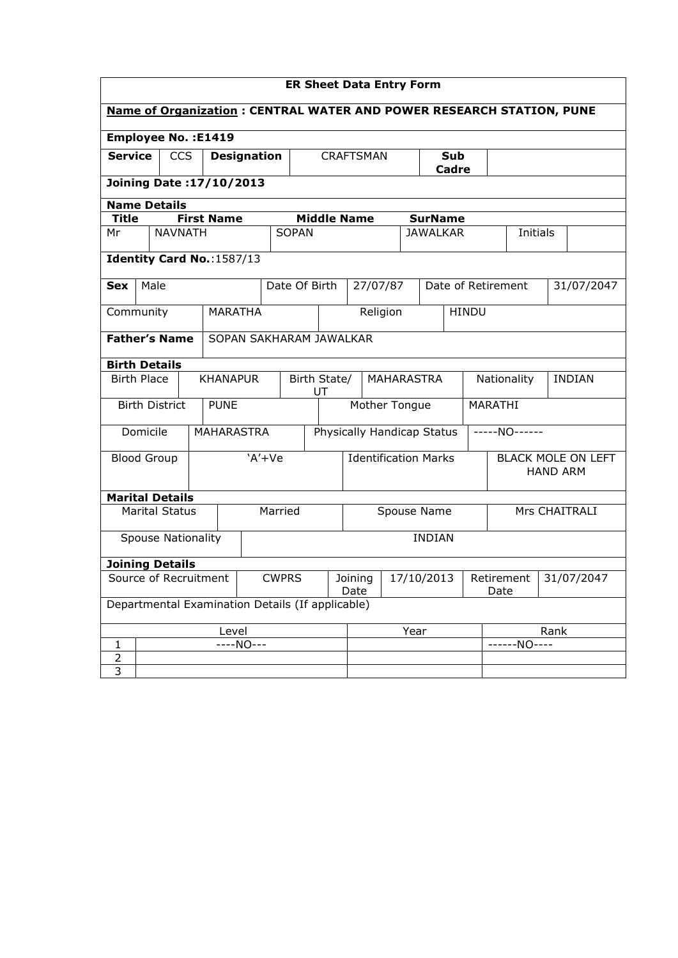| <b>ER Sheet Data Entry Form</b>                                             |                            |                           |  |                               |                    |               |                             |                                  |              |  |                                              |                    |              |              |               |            |
|-----------------------------------------------------------------------------|----------------------------|---------------------------|--|-------------------------------|--------------------|---------------|-----------------------------|----------------------------------|--------------|--|----------------------------------------------|--------------------|--------------|--------------|---------------|------------|
| <b>Name of Organization: CENTRAL WATER AND POWER RESEARCH STATION, PUNE</b> |                            |                           |  |                               |                    |               |                             |                                  |              |  |                                              |                    |              |              |               |            |
|                                                                             | <b>Employee No.: E1419</b> |                           |  |                               |                    |               |                             |                                  |              |  |                                              |                    |              |              |               |            |
| <b>Service</b><br><b>CCS</b><br><b>Designation</b>                          |                            |                           |  |                               | <b>CRAFTSMAN</b>   |               |                             |                                  | Sub<br>Cadre |  |                                              |                    |              |              |               |            |
|                                                                             | Joining Date: 17/10/2013   |                           |  |                               |                    |               |                             |                                  |              |  |                                              |                    |              |              |               |            |
| <b>Name Details</b>                                                         |                            |                           |  |                               |                    |               |                             |                                  |              |  |                                              |                    |              |              |               |            |
| <b>Title</b>                                                                |                            |                           |  | <b>First Name</b>             |                    |               |                             | <b>Middle Name</b>               |              |  | <b>SurName</b>                               |                    |              |              |               |            |
| Mr                                                                          |                            | <b>NAVNATH</b>            |  |                               |                    | <b>SOPAN</b>  |                             |                                  |              |  | <b>JAWALKAR</b>                              |                    |              | Initials     |               |            |
|                                                                             |                            |                           |  | Identity Card No.: 1587/13    |                    |               |                             |                                  |              |  |                                              |                    |              |              |               |            |
| <b>Sex</b>                                                                  | Male                       |                           |  |                               |                    | Date Of Birth |                             | 27/07/87                         |              |  |                                              | Date of Retirement |              |              |               | 31/07/2047 |
| Community                                                                   |                            |                           |  | <b>MARATHA</b>                |                    |               |                             | Religion                         |              |  |                                              |                    | <b>HINDU</b> |              |               |            |
|                                                                             |                            | <b>Father's Name</b>      |  | SOPAN SAKHARAM JAWALKAR       |                    |               |                             |                                  |              |  |                                              |                    |              |              |               |            |
| <b>Birth Details</b>                                                        |                            |                           |  |                               |                    |               |                             |                                  |              |  |                                              |                    |              |              |               |            |
|                                                                             | <b>Birth Place</b>         |                           |  | <b>KHANAPUR</b>               | Birth State/<br>UT |               |                             | MAHARASTRA                       |              |  |                                              | Nationality        |              |              | <b>INDIAN</b> |            |
|                                                                             |                            | <b>Birth District</b>     |  | <b>PUNE</b>                   |                    |               | Mother Tongue               |                                  |              |  |                                              | MARATHI            |              |              |               |            |
|                                                                             | Domicile                   |                           |  | <b>MAHARASTRA</b>             |                    |               | Physically Handicap Status  |                                  |              |  | -----NO------                                |                    |              |              |               |            |
|                                                                             | <b>Blood Group</b>         |                           |  |                               | $'A' + Ve$         |               | <b>Identification Marks</b> |                                  |              |  | <b>BLACK MOLE ON LEFT</b><br><b>HAND ARM</b> |                    |              |              |               |            |
|                                                                             |                            | <b>Marital Details</b>    |  |                               |                    |               |                             |                                  |              |  |                                              |                    |              |              |               |            |
|                                                                             |                            | <b>Marital Status</b>     |  |                               | Married            |               |                             | Mrs CHAITRALI<br>Spouse Name     |              |  |                                              |                    |              |              |               |            |
|                                                                             |                            | <b>Spouse Nationality</b> |  |                               |                    |               |                             |                                  |              |  | <b>INDIAN</b>                                |                    |              |              |               |            |
|                                                                             | <b>Joining Details</b>     |                           |  |                               |                    |               |                             |                                  |              |  |                                              |                    |              |              |               |            |
| Source of Recruitment<br><b>CWPRS</b>                                       |                            |                           |  | 17/10/2013<br>Joining<br>Date |                    |               |                             | 31/07/2047<br>Retirement<br>Date |              |  |                                              |                    |              |              |               |            |
| Departmental Examination Details (If applicable)                            |                            |                           |  |                               |                    |               |                             |                                  |              |  |                                              |                    |              |              |               |            |
| Level                                                                       |                            |                           |  |                               | Year               |               |                             | Rank                             |              |  |                                              |                    |              |              |               |            |
| 1                                                                           |                            |                           |  | $---NO---$                    |                    |               |                             |                                  |              |  |                                              |                    |              | ------NO---- |               |            |
| $\overline{c}$                                                              |                            |                           |  |                               |                    |               |                             |                                  |              |  |                                              |                    |              |              |               |            |
| $\overline{3}$                                                              |                            |                           |  |                               |                    |               |                             |                                  |              |  |                                              |                    |              |              |               |            |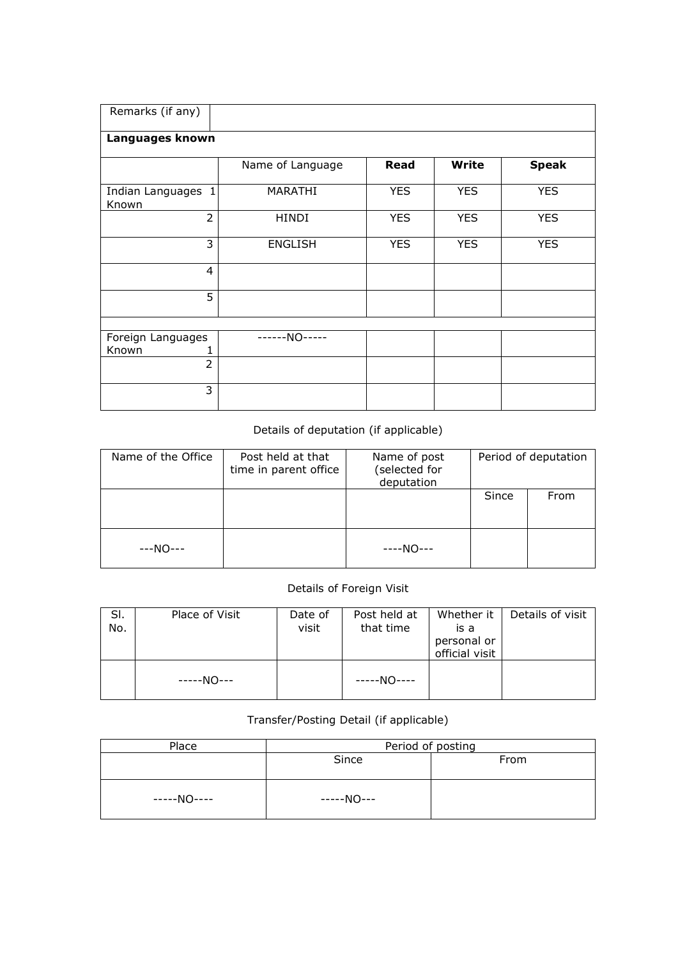| Remarks (if any)   |                  |            |              |              |
|--------------------|------------------|------------|--------------|--------------|
|                    |                  |            |              |              |
| Languages known    |                  |            |              |              |
|                    |                  |            |              |              |
|                    | Name of Language | Read       | <b>Write</b> | <b>Speak</b> |
|                    |                  |            |              |              |
| Indian Languages 1 | MARATHI          | <b>YES</b> | <b>YES</b>   | <b>YES</b>   |
| Known              |                  |            |              |              |
| $\overline{2}$     | <b>HINDI</b>     | <b>YES</b> | <b>YES</b>   | <b>YES</b>   |
|                    |                  |            |              |              |
| 3                  | <b>ENGLISH</b>   | <b>YES</b> | <b>YES</b>   | <b>YES</b>   |
|                    |                  |            |              |              |
| $\overline{4}$     |                  |            |              |              |
|                    |                  |            |              |              |
| 5                  |                  |            |              |              |
|                    |                  |            |              |              |
|                    |                  |            |              |              |
| Foreign Languages  | ------NO-----    |            |              |              |
| Known              |                  |            |              |              |
| $\overline{2}$     |                  |            |              |              |
|                    |                  |            |              |              |
| 3                  |                  |            |              |              |
|                    |                  |            |              |              |

## Details of deputation (if applicable)

| Name of the Office | Post held at that<br>time in parent office | Name of post<br>(selected for<br>deputation |       | Period of deputation |
|--------------------|--------------------------------------------|---------------------------------------------|-------|----------------------|
|                    |                                            |                                             | Since | From                 |
| ---NO---           |                                            | ----NO---                                   |       |                      |

## Details of Foreign Visit

| SI.<br>No. | Place of Visit | Date of<br>visit | Post held at<br>that time | Whether it  <br>is a<br>personal or<br>official visit | Details of visit |
|------------|----------------|------------------|---------------------------|-------------------------------------------------------|------------------|
|            | -----NO---     |                  | $---NO---$                |                                                       |                  |

## Transfer/Posting Detail (if applicable)

| Place       | Period of posting |      |  |  |  |  |
|-------------|-------------------|------|--|--|--|--|
|             | Since             | From |  |  |  |  |
| -----NO---- | -----NO---        |      |  |  |  |  |